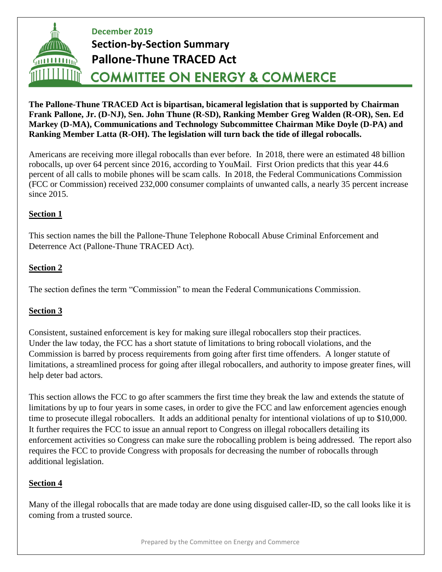# **December 2019 Section-by-Section Summary Pallone-Thune TRACED Act**  $(1111111)$ **COMMITTEE ON ENERGY & COMMERCE**

**The Pallone-Thune TRACED Act is bipartisan, bicameral legislation that is supported by Chairman Frank Pallone, Jr. (D-NJ), Sen. John Thune (R-SD), Ranking Member Greg Walden (R-OR), Sen. Ed Markey (D-MA), Communications and Technology Subcommittee Chairman Mike Doyle (D-PA) and Ranking Member Latta (R-OH). The legislation will turn back the tide of illegal robocalls.**

Americans are receiving more illegal robocalls than ever before. In 2018, there were an estimated 48 billion robocalls, up over 64 percent since 2016, according to YouMail. First Orion predicts that this year 44.6 percent of all calls to mobile phones will be scam calls. In 2018, the Federal Communications Commission (FCC or Commission) received 232,000 consumer complaints of unwanted calls, a nearly 35 percent increase since 2015.

# **Section 1**

This section names the bill the Pallone-Thune Telephone Robocall Abuse Criminal Enforcement and Deterrence Act (Pallone-Thune TRACED Act).

# **Section 2**

The section defines the term "Commission" to mean the Federal Communications Commission.

#### **Section 3**

Consistent, sustained enforcement is key for making sure illegal robocallers stop their practices. Under the law today, the FCC has a short statute of limitations to bring robocall violations, and the Commission is barred by process requirements from going after first time offenders. A longer statute of limitations, a streamlined process for going after illegal robocallers, and authority to impose greater fines, will help deter bad actors.

This section allows the FCC to go after scammers the first time they break the law and extends the statute of limitations by up to four years in some cases, in order to give the FCC and law enforcement agencies enough time to prosecute illegal robocallers. It adds an additional penalty for intentional violations of up to \$10,000. It further requires the FCC to issue an annual report to Congress on illegal robocallers detailing its enforcement activities so Congress can make sure the robocalling problem is being addressed. The report also requires the FCC to provide Congress with proposals for decreasing the number of robocalls through additional legislation.

#### **Section 4**

Many of the illegal robocalls that are made today are done using disguised caller-ID, so the call looks like it is coming from a trusted source.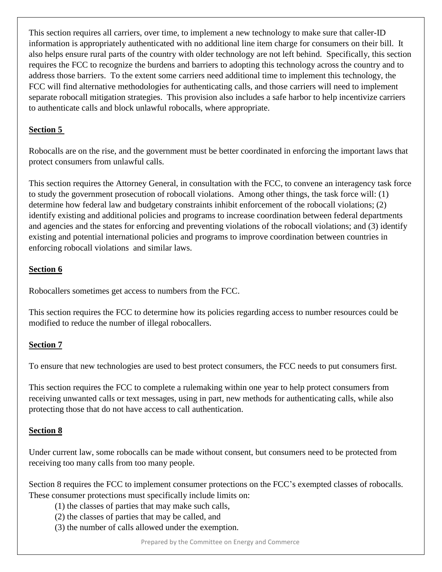This section requires all carriers, over time, to implement a new technology to make sure that caller-ID information is appropriately authenticated with no additional line item charge for consumers on their bill. It also helps ensure rural parts of the country with older technology are not left behind. Specifically, this section requires the FCC to recognize the burdens and barriers to adopting this technology across the country and to address those barriers. To the extent some carriers need additional time to implement this technology, the FCC will find alternative methodologies for authenticating calls, and those carriers will need to implement separate robocall mitigation strategies. This provision also includes a safe harbor to help incentivize carriers to authenticate calls and block unlawful robocalls, where appropriate.

#### **Section 5**

Robocalls are on the rise, and the government must be better coordinated in enforcing the important laws that protect consumers from unlawful calls.

This section requires the Attorney General, in consultation with the FCC, to convene an interagency task force to study the government prosecution of robocall violations. Among other things, the task force will: (1) determine how federal law and budgetary constraints inhibit enforcement of the robocall violations; (2) identify existing and additional policies and programs to increase coordination between federal departments and agencies and the states for enforcing and preventing violations of the robocall violations; and (3) identify existing and potential international policies and programs to improve coordination between countries in enforcing robocall violations and similar laws.

#### **Section 6**

Robocallers sometimes get access to numbers from the FCC.

This section requires the FCC to determine how its policies regarding access to number resources could be modified to reduce the number of illegal robocallers.

# **Section 7**

To ensure that new technologies are used to best protect consumers, the FCC needs to put consumers first.

This section requires the FCC to complete a rulemaking within one year to help protect consumers from receiving unwanted calls or text messages, using in part, new methods for authenticating calls, while also protecting those that do not have access to call authentication.

#### **Section 8**

Under current law, some robocalls can be made without consent, but consumers need to be protected from receiving too many calls from too many people.

Section 8 requires the FCC to implement consumer protections on the FCC's exempted classes of robocalls. These consumer protections must specifically include limits on:

- (1) the classes of parties that may make such calls,
- (2) the classes of parties that may be called, and
- (3) the number of calls allowed under the exemption.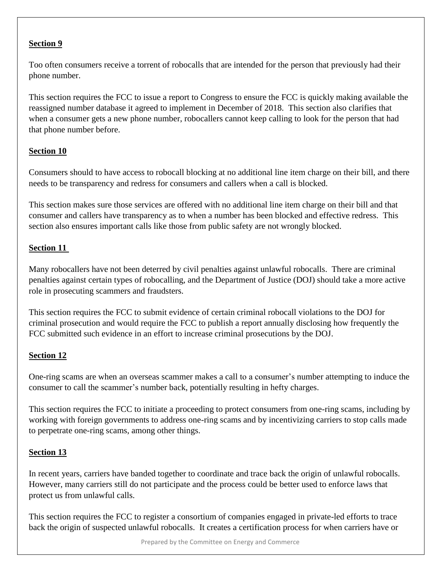#### **Section 9**

Too often consumers receive a torrent of robocalls that are intended for the person that previously had their phone number.

This section requires the FCC to issue a report to Congress to ensure the FCC is quickly making available the reassigned number database it agreed to implement in December of 2018. This section also clarifies that when a consumer gets a new phone number, robocallers cannot keep calling to look for the person that had that phone number before.

# **Section 10**

Consumers should to have access to robocall blocking at no additional line item charge on their bill, and there needs to be transparency and redress for consumers and callers when a call is blocked.

This section makes sure those services are offered with no additional line item charge on their bill and that consumer and callers have transparency as to when a number has been blocked and effective redress. This section also ensures important calls like those from public safety are not wrongly blocked.

#### **Section 11**

Many robocallers have not been deterred by civil penalties against unlawful robocalls. There are criminal penalties against certain types of robocalling, and the Department of Justice (DOJ) should take a more active role in prosecuting scammers and fraudsters.

This section requires the FCC to submit evidence of certain criminal robocall violations to the DOJ for criminal prosecution and would require the FCC to publish a report annually disclosing how frequently the FCC submitted such evidence in an effort to increase criminal prosecutions by the DOJ.

#### **Section 12**

One-ring scams are when an overseas scammer makes a call to a consumer's number attempting to induce the consumer to call the scammer's number back, potentially resulting in hefty charges.

This section requires the FCC to initiate a proceeding to protect consumers from one-ring scams, including by working with foreign governments to address one-ring scams and by incentivizing carriers to stop calls made to perpetrate one-ring scams, among other things.

#### **Section 13**

In recent years, carriers have banded together to coordinate and trace back the origin of unlawful robocalls. However, many carriers still do not participate and the process could be better used to enforce laws that protect us from unlawful calls.

This section requires the FCC to register a consortium of companies engaged in private-led efforts to trace back the origin of suspected unlawful robocalls. It creates a certification process for when carriers have or

Prepared by the Committee on Energy and Commerce